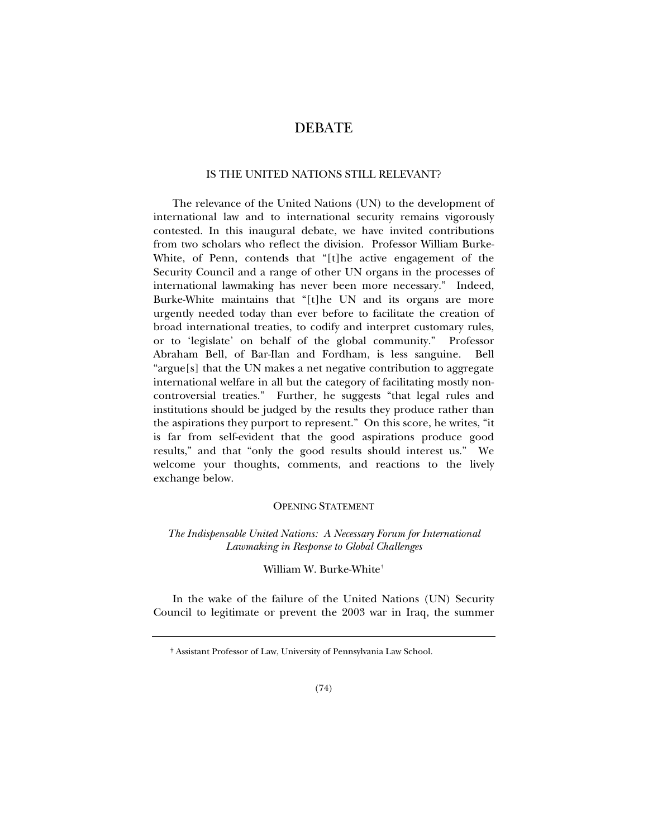# DEBATE

# IS THE UNITED NATIONS STILL RELEVANT?

The relevance of the United Nations (UN) to the development of international law and to international security remains vigorously contested. In this inaugural debate, we have invited contributions from two scholars who reflect the division. Professor William Burke-White, of Penn, contends that "[t]he active engagement of the Security Council and a range of other UN organs in the processes of international lawmaking has never been more necessary." Indeed, Burke-White maintains that "[t]he UN and its organs are more urgently needed today than ever before to facilitate the creation of broad international treaties, to codify and interpret customary rules, or to 'legislate' on behalf of the global community." Professor Abraham Bell, of Bar-Ilan and Fordham, is less sanguine. Bell "argue[s] that the UN makes a net negative contribution to aggregate international welfare in all but the category of facilitating mostly noncontroversial treaties." Further, he suggests "that legal rules and institutions should be judged by the results they produce rather than the aspirations they purport to represent." On this score, he writes, "it is far from self-evident that the good aspirations produce good results," and that "only the good results should interest us." We welcome your thoughts, comments, and reactions to the lively exchange below.

# OPENING STATEMENT

# *The Indispensable United Nations: A Necessary Forum for International Lawmaking in Response to Global Challenges*

# William W. Burke-White[†](#page-0-0)

<span id="page-0-0"></span>In the wake of the failure of the United Nations (UN) Security Council to legitimate or prevent the 2003 war in Iraq, the summer

 <sup>†</sup> Assistant Professor of Law, University of Pennsylvania Law School.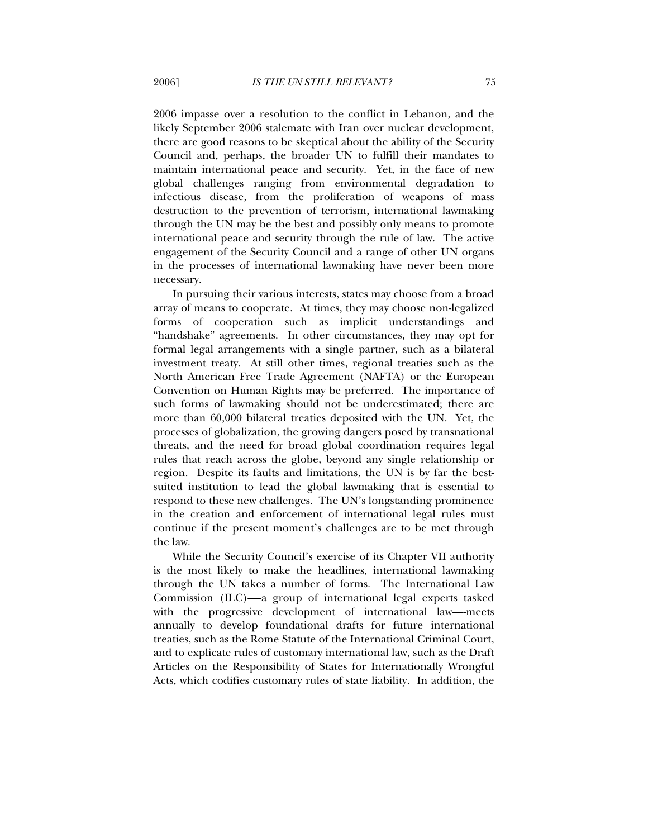2006 impasse over a resolution to the conflict in Lebanon, and the likely September 2006 stalemate with Iran over nuclear development, there are good reasons to be skeptical about the ability of the Security Council and, perhaps, the broader UN to fulfill their mandates to maintain international peace and security. Yet, in the face of new global challenges ranging from environmental degradation to infectious disease, from the proliferation of weapons of mass destruction to the prevention of terrorism, international lawmaking through the UN may be the best and possibly only means to promote international peace and security through the rule of law. The active engagement of the Security Council and a range of other UN organs in the processes of international lawmaking have never been more necessary.

In pursuing their various interests, states may choose from a broad array of means to cooperate. At times, they may choose non-legalized forms of cooperation such as implicit understandings and "handshake" agreements. In other circumstances, they may opt for formal legal arrangements with a single partner, such as a bilateral investment treaty. At still other times, regional treaties such as the North American Free Trade Agreement (NAFTA) or the European Convention on Human Rights may be preferred. The importance of such forms of lawmaking should not be underestimated; there are more than 60,000 bilateral treaties deposited with the UN. Yet, the processes of globalization, the growing dangers posed by transnational threats, and the need for broad global coordination requires legal rules that reach across the globe, beyond any single relationship or region. Despite its faults and limitations, the UN is by far the bestsuited institution to lead the global lawmaking that is essential to respond to these new challenges. The UN's longstanding prominence in the creation and enforcement of international legal rules must continue if the present moment's challenges are to be met through the law.

While the Security Council's exercise of its Chapter VII authority is the most likely to make the headlines, international lawmaking through the UN takes a number of forms. The International Law Commission (ILC)—a group of international legal experts tasked with the progressive development of international law—-meets annually to develop foundational drafts for future international treaties, such as the Rome Statute of the International Criminal Court, and to explicate rules of customary international law, such as the Draft Articles on the Responsibility of States for Internationally Wrongful Acts, which codifies customary rules of state liability. In addition, the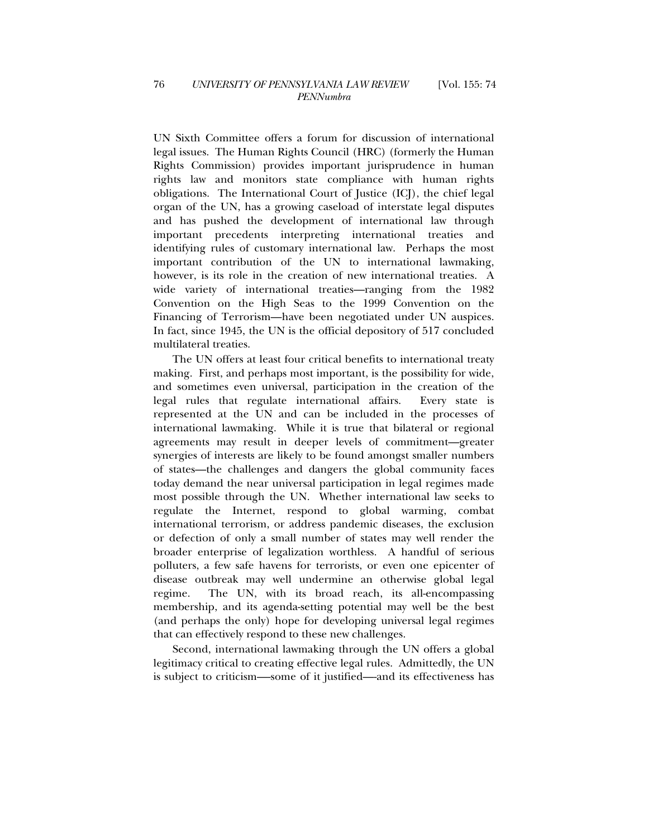UN Sixth Committee offers a forum for discussion of international legal issues. The Human Rights Council (HRC) (formerly the Human Rights Commission) provides important jurisprudence in human rights law and monitors state compliance with human rights obligations. The International Court of Justice (ICJ), the chief legal organ of the UN, has a growing caseload of interstate legal disputes and has pushed the development of international law through important precedents interpreting international treaties and identifying rules of customary international law. Perhaps the most important contribution of the UN to international lawmaking, however, is its role in the creation of new international treaties. A wide variety of international treaties—ranging from the 1982 Convention on the High Seas to the 1999 Convention on the Financing of Terrorism—have been negotiated under UN auspices. In fact, since 1945, the UN is the official depository of 517 concluded multilateral treaties.

The UN offers at least four critical benefits to international treaty making. First, and perhaps most important, is the possibility for wide, and sometimes even universal, participation in the creation of the legal rules that regulate international affairs. Every state is represented at the UN and can be included in the processes of international lawmaking. While it is true that bilateral or regional agreements may result in deeper levels of commitment—greater synergies of interests are likely to be found amongst smaller numbers of states—the challenges and dangers the global community faces today demand the near universal participation in legal regimes made most possible through the UN. Whether international law seeks to regulate the Internet, respond to global warming, combat international terrorism, or address pandemic diseases, the exclusion or defection of only a small number of states may well render the broader enterprise of legalization worthless. A handful of serious polluters, a few safe havens for terrorists, or even one epicenter of disease outbreak may well undermine an otherwise global legal regime. The UN, with its broad reach, its all-encompassing membership, and its agenda-setting potential may well be the best (and perhaps the only) hope for developing universal legal regimes that can effectively respond to these new challenges.

Second, international lawmaking through the UN offers a global legitimacy critical to creating effective legal rules. Admittedly, the UN is subject to criticism—-some of it justified—-and its effectiveness has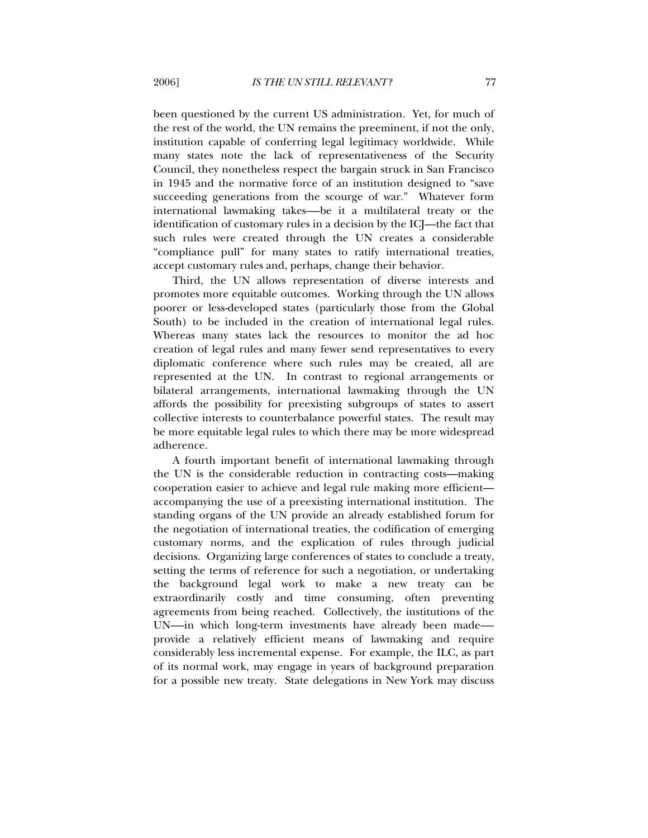been questioned by the current US administration. Yet, for much of the rest of the world, the UN remains the preeminent, if not the only, institution capable of conferring legal legitimacy worldwide. While many states note the lack of representativeness of the Security Council, they nonetheless respect the bargain struck in San Francisco in 1945 and the normative force of an institution designed to "save succeeding generations from the scourge of war." Whatever form international lawmaking takes—be it a multilateral treaty or the identification of customary rules in a decision by the ICJ—the fact that such rules were created through the UN creates a considerable "compliance pull" for many states to ratify international treaties, accept customary rules and, perhaps, change their behavior.

Third, the UN allows representation of diverse interests and promotes more equitable outcomes. Working through the UN allows poorer or less-developed states (particularly those from the Global South) to be included in the creation of international legal rules. Whereas many states lack the resources to monitor the ad hoc creation of legal rules and many fewer send representatives to every diplomatic conference where such rules may be created, all are represented at the UN. In contrast to regional arrangements or bilateral arrangements, international lawmaking through the UN affords the possibility for preexisting subgroups of states to assert collective interests to counterbalance powerful states. The result may be more equitable legal rules to which there may be more widespread adherence.

A fourth important benefit of international lawmaking through the UN is the considerable reduction in contracting costs—making cooperation easier to achieve and legal rule making more efficient accompanying the use of a preexisting international institution. The standing organs of the UN provide an already established forum for the negotiation of international treaties, the codification of emerging customary norms, and the explication of rules through judicial decisions. Organizing large conferences of states to conclude a treaty, setting the terms of reference for such a negotiation, or undertaking the background legal work to make a new treaty can be extraordinarily costly and time consuming, often preventing agreements from being reached. Collectively, the institutions of the UN-—in which long-term investments have already been made— provide a relatively efficient means of lawmaking and require considerably less incremental expense. For example, the ILC, as part of its normal work, may engage in years of background preparation for a possible new treaty. State delegations in New York may discuss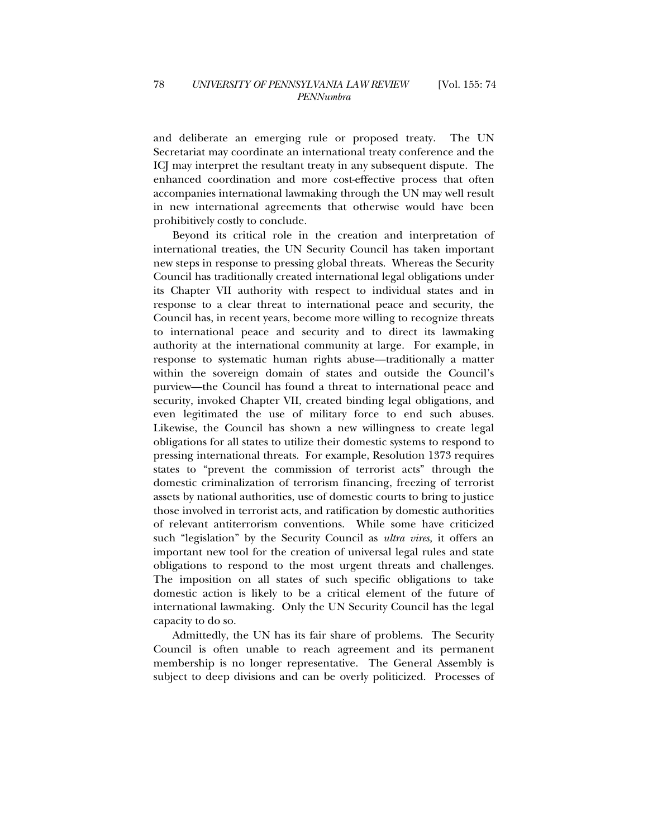and deliberate an emerging rule or proposed treaty. The UN Secretariat may coordinate an international treaty conference and the ICJ may interpret the resultant treaty in any subsequent dispute. The enhanced coordination and more cost-effective process that often accompanies international lawmaking through the UN may well result in new international agreements that otherwise would have been prohibitively costly to conclude.

Beyond its critical role in the creation and interpretation of international treaties, the UN Security Council has taken important new steps in response to pressing global threats. Whereas the Security Council has traditionally created international legal obligations under its Chapter VII authority with respect to individual states and in response to a clear threat to international peace and security, the Council has, in recent years, become more willing to recognize threats to international peace and security and to direct its lawmaking authority at the international community at large. For example, in response to systematic human rights abuse—traditionally a matter within the sovereign domain of states and outside the Council's purview—the Council has found a threat to international peace and security, invoked Chapter VII, created binding legal obligations, and even legitimated the use of military force to end such abuses. Likewise, the Council has shown a new willingness to create legal obligations for all states to utilize their domestic systems to respond to pressing international threats. For example, Resolution 1373 requires states to "prevent the commission of terrorist acts" through the domestic criminalization of terrorism financing, freezing of terrorist assets by national authorities, use of domestic courts to bring to justice those involved in terrorist acts, and ratification by domestic authorities of relevant antiterrorism conventions. While some have criticized such "legislation" by the Security Council as *ultra vires,* it offers an important new tool for the creation of universal legal rules and state obligations to respond to the most urgent threats and challenges. The imposition on all states of such specific obligations to take domestic action is likely to be a critical element of the future of international lawmaking. Only the UN Security Council has the legal capacity to do so.

Admittedly, the UN has its fair share of problems. The Security Council is often unable to reach agreement and its permanent membership is no longer representative. The General Assembly is subject to deep divisions and can be overly politicized. Processes of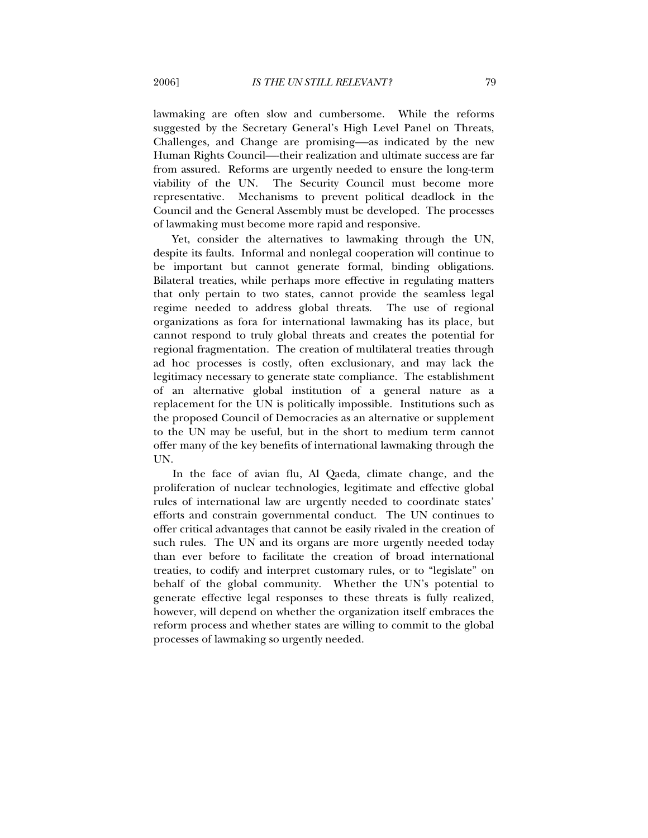lawmaking are often slow and cumbersome. While the reforms suggested by the Secretary General's High Level Panel on Threats, Challenges, and Change are promising—-as indicated by the new Human Rights Council—-their realization and ultimate success are far from assured. Reforms are urgently needed to ensure the long-term viability of the UN. The Security Council must become more representative. Mechanisms to prevent political deadlock in the Council and the General Assembly must be developed. The processes of lawmaking must become more rapid and responsive.

Yet, consider the alternatives to lawmaking through the UN, despite its faults. Informal and nonlegal cooperation will continue to be important but cannot generate formal, binding obligations. Bilateral treaties, while perhaps more effective in regulating matters that only pertain to two states, cannot provide the seamless legal regime needed to address global threats. The use of regional organizations as fora for international lawmaking has its place, but cannot respond to truly global threats and creates the potential for regional fragmentation. The creation of multilateral treaties through ad hoc processes is costly, often exclusionary, and may lack the legitimacy necessary to generate state compliance. The establishment of an alternative global institution of a general nature as a replacement for the UN is politically impossible. Institutions such as the proposed Council of Democracies as an alternative or supplement to the UN may be useful, but in the short to medium term cannot offer many of the key benefits of international lawmaking through the UN.

In the face of avian flu, Al Qaeda, climate change, and the proliferation of nuclear technologies, legitimate and effective global rules of international law are urgently needed to coordinate states' efforts and constrain governmental conduct. The UN continues to offer critical advantages that cannot be easily rivaled in the creation of such rules. The UN and its organs are more urgently needed today than ever before to facilitate the creation of broad international treaties, to codify and interpret customary rules, or to "legislate" on behalf of the global community. Whether the UN's potential to generate effective legal responses to these threats is fully realized, however, will depend on whether the organization itself embraces the reform process and whether states are willing to commit to the global processes of lawmaking so urgently needed.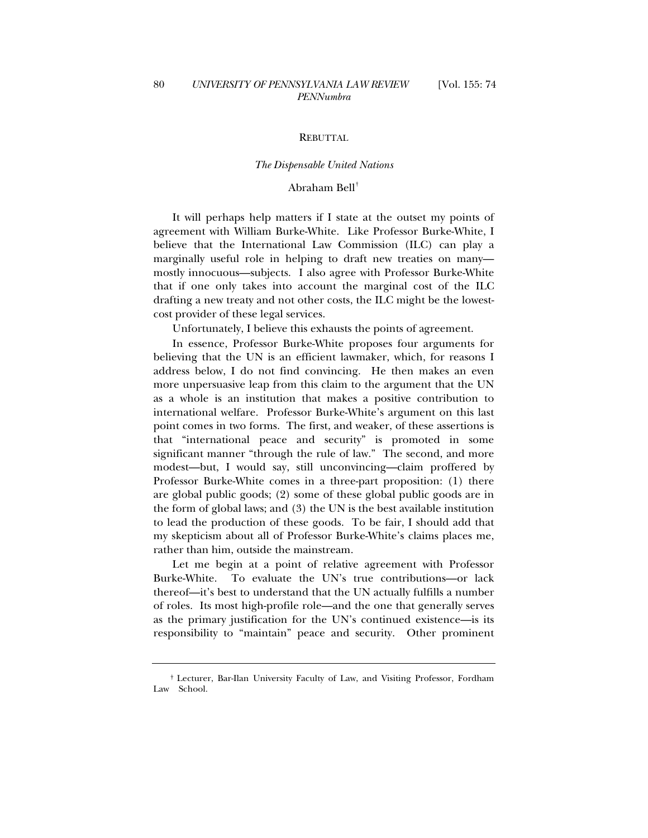### **REBUTTAL**

#### *The Dispensable United Nations*

# Abraham Bell[†](#page-6-0)

It will perhaps help matters if I state at the outset my points of agreement with William Burke-White. Like Professor Burke-White, I believe that the International Law Commission (ILC) can play a marginally useful role in helping to draft new treaties on many mostly innocuous—subjects. I also agree with Professor Burke-White that if one only takes into account the marginal cost of the ILC drafting a new treaty and not other costs, the ILC might be the lowestcost provider of these legal services.

Unfortunately, I believe this exhausts the points of agreement.

In essence, Professor Burke-White proposes four arguments for believing that the UN is an efficient lawmaker, which, for reasons I address below, I do not find convincing. He then makes an even more unpersuasive leap from this claim to the argument that the UN as a whole is an institution that makes a positive contribution to international welfare. Professor Burke-White's argument on this last point comes in two forms. The first, and weaker, of these assertions is that "international peace and security" is promoted in some significant manner "through the rule of law." The second, and more modest—but, I would say, still unconvincing—claim proffered by Professor Burke-White comes in a three-part proposition: (1) there are global public goods; (2) some of these global public goods are in the form of global laws; and (3) the UN is the best available institution to lead the production of these goods. To be fair, I should add that my skepticism about all of Professor Burke-White's claims places me, rather than him, outside the mainstream.

Let me begin at a point of relative agreement with Professor Burke-White. To evaluate the UN's true contributions—or lack thereof—it's best to understand that the UN actually fulfills a number of roles. Its most high-profile role—and the one that generally serves as the primary justification for the UN's continued existence—is its responsibility to "maintain" peace and security. Other prominent

<span id="page-6-0"></span> <sup>†</sup> Lecturer, Bar-Ilan University Faculty of Law, and Visiting Professor, Fordham Law School.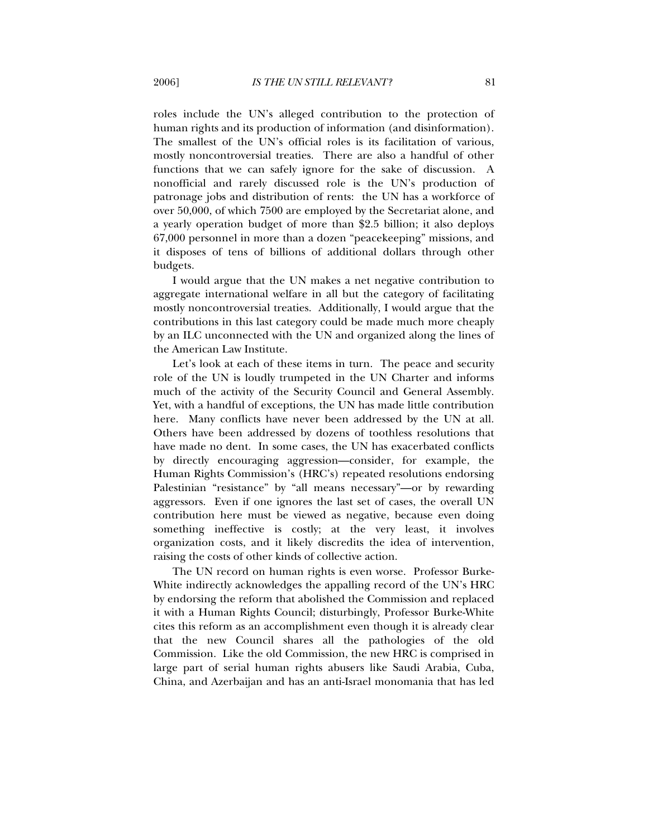roles include the UN's alleged contribution to the protection of human rights and its production of information (and disinformation). The smallest of the UN's official roles is its facilitation of various, mostly noncontroversial treaties. There are also a handful of other functions that we can safely ignore for the sake of discussion. A nonofficial and rarely discussed role is the UN's production of patronage jobs and distribution of rents: the UN has a workforce of over 50,000, of which 7500 are employed by the Secretariat alone, and a yearly operation budget of more than \$2.5 billion; it also deploys 67,000 personnel in more than a dozen "peacekeeping" missions, and it disposes of tens of billions of additional dollars through other budgets.

I would argue that the UN makes a net negative contribution to aggregate international welfare in all but the category of facilitating mostly noncontroversial treaties. Additionally, I would argue that the contributions in this last category could be made much more cheaply by an ILC unconnected with the UN and organized along the lines of the American Law Institute.

Let's look at each of these items in turn. The peace and security role of the UN is loudly trumpeted in the UN Charter and informs much of the activity of the Security Council and General Assembly. Yet, with a handful of exceptions, the UN has made little contribution here. Many conflicts have never been addressed by the UN at all. Others have been addressed by dozens of toothless resolutions that have made no dent. In some cases, the UN has exacerbated conflicts by directly encouraging aggression—consider, for example, the Human Rights Commission's (HRC's) repeated resolutions endorsing Palestinian "resistance" by "all means necessary"—or by rewarding aggressors. Even if one ignores the last set of cases, the overall UN contribution here must be viewed as negative, because even doing something ineffective is costly; at the very least, it involves organization costs, and it likely discredits the idea of intervention, raising the costs of other kinds of collective action.

The UN record on human rights is even worse. Professor Burke-White indirectly acknowledges the appalling record of the UN's HRC by endorsing the reform that abolished the Commission and replaced it with a Human Rights Council; disturbingly, Professor Burke-White cites this reform as an accomplishment even though it is already clear that the new Council shares all the pathologies of the old Commission. Like the old Commission, the new HRC is comprised in large part of serial human rights abusers like Saudi Arabia, Cuba, China, and Azerbaijan and has an anti-Israel monomania that has led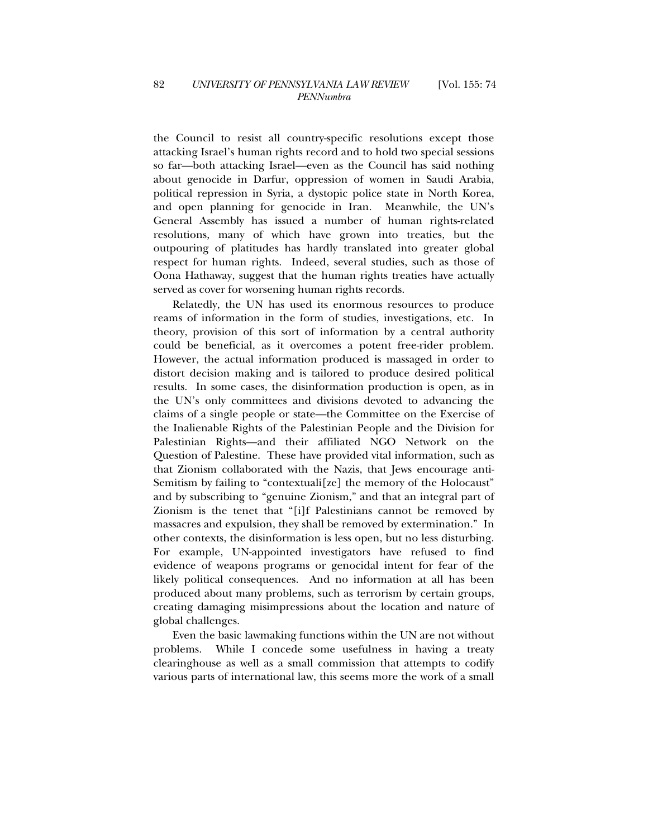the Council to resist all country-specific resolutions except those attacking Israel's human rights record and to hold two special sessions so far—both attacking Israel—even as the Council has said nothing about genocide in Darfur, oppression of women in Saudi Arabia, political repression in Syria, a dystopic police state in North Korea, and open planning for genocide in Iran. Meanwhile, the UN's General Assembly has issued a number of human rights-related resolutions, many of which have grown into treaties, but the outpouring of platitudes has hardly translated into greater global respect for human rights. Indeed, several studies, such as those of Oona Hathaway, suggest that the human rights treaties have actually served as cover for worsening human rights records.

Relatedly, the UN has used its enormous resources to produce reams of information in the form of studies, investigations, etc. In theory, provision of this sort of information by a central authority could be beneficial, as it overcomes a potent free-rider problem. However, the actual information produced is massaged in order to distort decision making and is tailored to produce desired political results. In some cases, the disinformation production is open, as in the UN's only committees and divisions devoted to advancing the claims of a single people or state—the Committee on the Exercise of the Inalienable Rights of the Palestinian People and the Division for Palestinian Rights—and their affiliated NGO Network on the Question of Palestine. These have provided vital information, such as that Zionism collaborated with the Nazis, that Jews encourage anti-Semitism by failing to "contextuali[ze] the memory of the Holocaust" and by subscribing to "genuine Zionism," and that an integral part of Zionism is the tenet that "[i]f Palestinians cannot be removed by massacres and expulsion, they shall be removed by extermination." In other contexts, the disinformation is less open, but no less disturbing. For example, UN-appointed investigators have refused to find evidence of weapons programs or genocidal intent for fear of the likely political consequences. And no information at all has been produced about many problems, such as terrorism by certain groups, creating damaging misimpressions about the location and nature of global challenges.

Even the basic lawmaking functions within the UN are not without problems. While I concede some usefulness in having a treaty clearinghouse as well as a small commission that attempts to codify various parts of international law, this seems more the work of a small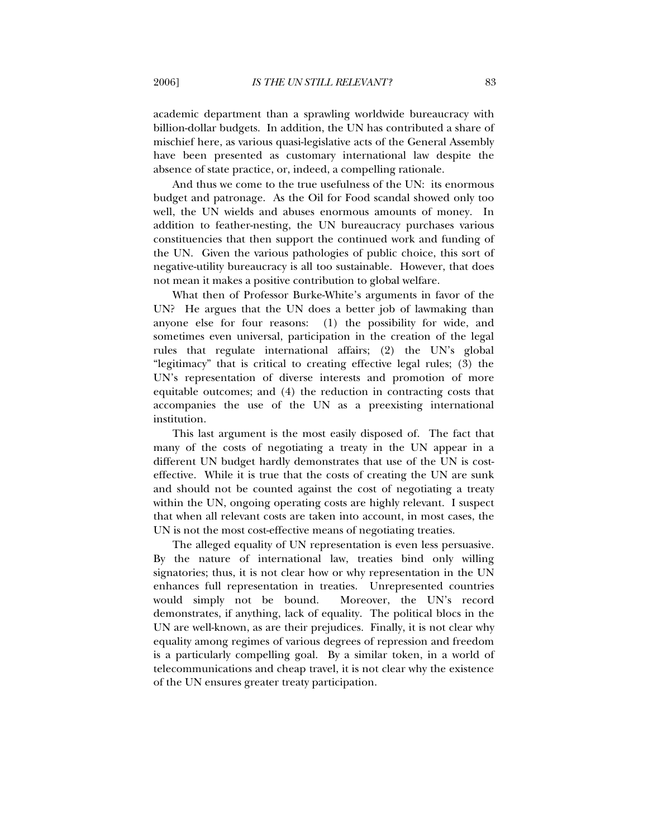academic department than a sprawling worldwide bureaucracy with billion-dollar budgets. In addition, the UN has contributed a share of mischief here, as various quasi-legislative acts of the General Assembly have been presented as customary international law despite the absence of state practice, or, indeed, a compelling rationale.

And thus we come to the true usefulness of the UN: its enormous budget and patronage. As the Oil for Food scandal showed only too well, the UN wields and abuses enormous amounts of money. In addition to feather-nesting, the UN bureaucracy purchases various constituencies that then support the continued work and funding of the UN. Given the various pathologies of public choice, this sort of negative-utility bureaucracy is all too sustainable. However, that does not mean it makes a positive contribution to global welfare.

What then of Professor Burke-White's arguments in favor of the UN? He argues that the UN does a better job of lawmaking than anyone else for four reasons: (1) the possibility for wide, and sometimes even universal, participation in the creation of the legal rules that regulate international affairs; (2) the UN's global "legitimacy" that is critical to creating effective legal rules; (3) the UN's representation of diverse interests and promotion of more equitable outcomes; and (4) the reduction in contracting costs that accompanies the use of the UN as a preexisting international institution.

This last argument is the most easily disposed of. The fact that many of the costs of negotiating a treaty in the UN appear in a different UN budget hardly demonstrates that use of the UN is costeffective. While it is true that the costs of creating the UN are sunk and should not be counted against the cost of negotiating a treaty within the UN, ongoing operating costs are highly relevant. I suspect that when all relevant costs are taken into account, in most cases, the UN is not the most cost-effective means of negotiating treaties.

The alleged equality of UN representation is even less persuasive. By the nature of international law, treaties bind only willing signatories; thus, it is not clear how or why representation in the UN enhances full representation in treaties. Unrepresented countries would simply not be bound. Moreover, the UN's record demonstrates, if anything, lack of equality. The political blocs in the UN are well-known, as are their prejudices. Finally, it is not clear why equality among regimes of various degrees of repression and freedom is a particularly compelling goal. By a similar token, in a world of telecommunications and cheap travel, it is not clear why the existence of the UN ensures greater treaty participation.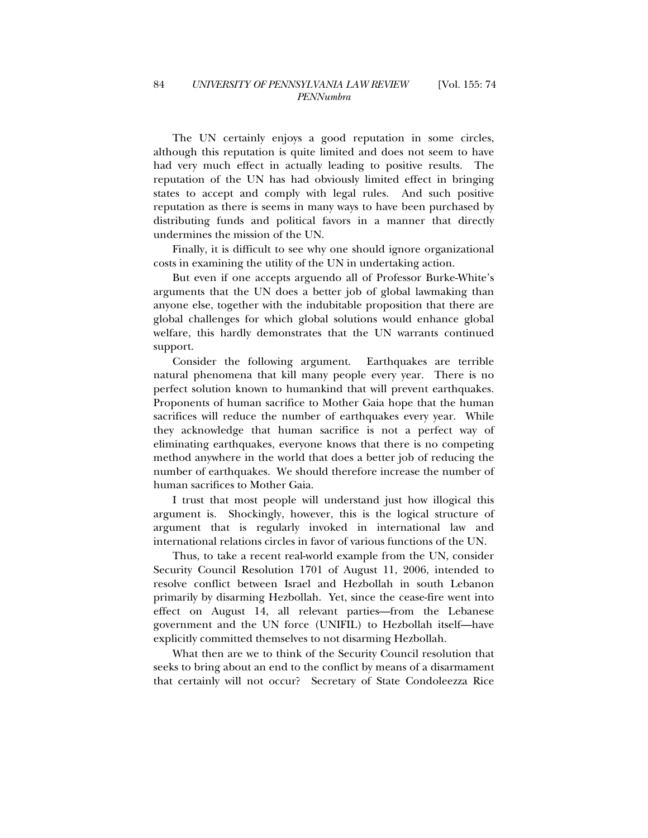The UN certainly enjoys a good reputation in some circles, although this reputation is quite limited and does not seem to have had very much effect in actually leading to positive results. The reputation of the UN has had obviously limited effect in bringing states to accept and comply with legal rules. And such positive reputation as there is seems in many ways to have been purchased by distributing funds and political favors in a manner that directly undermines the mission of the UN.

Finally, it is difficult to see why one should ignore organizational costs in examining the utility of the UN in undertaking action.

But even if one accepts arguendo all of Professor Burke-White's arguments that the UN does a better job of global lawmaking than anyone else, together with the indubitable proposition that there are global challenges for which global solutions would enhance global welfare, this hardly demonstrates that the UN warrants continued support.

Consider the following argument. Earthquakes are terrible natural phenomena that kill many people every year. There is no perfect solution known to humankind that will prevent earthquakes. Proponents of human sacrifice to Mother Gaia hope that the human sacrifices will reduce the number of earthquakes every year. While they acknowledge that human sacrifice is not a perfect way of eliminating earthquakes, everyone knows that there is no competing method anywhere in the world that does a better job of reducing the number of earthquakes. We should therefore increase the number of human sacrifices to Mother Gaia.

I trust that most people will understand just how illogical this argument is. Shockingly, however, this is the logical structure of argument that is regularly invoked in international law and international relations circles in favor of various functions of the UN.

Thus, to take a recent real-world example from the UN, consider Security Council Resolution 1701 of August 11, 2006, intended to resolve conflict between Israel and Hezbollah in south Lebanon primarily by disarming Hezbollah. Yet, since the cease-fire went into effect on August 14, all relevant parties—from the Lebanese government and the UN force (UNIFIL) to Hezbollah itself—have explicitly committed themselves to not disarming Hezbollah.

What then are we to think of the Security Council resolution that seeks to bring about an end to the conflict by means of a disarmament that certainly will not occur? Secretary of State Condoleezza Rice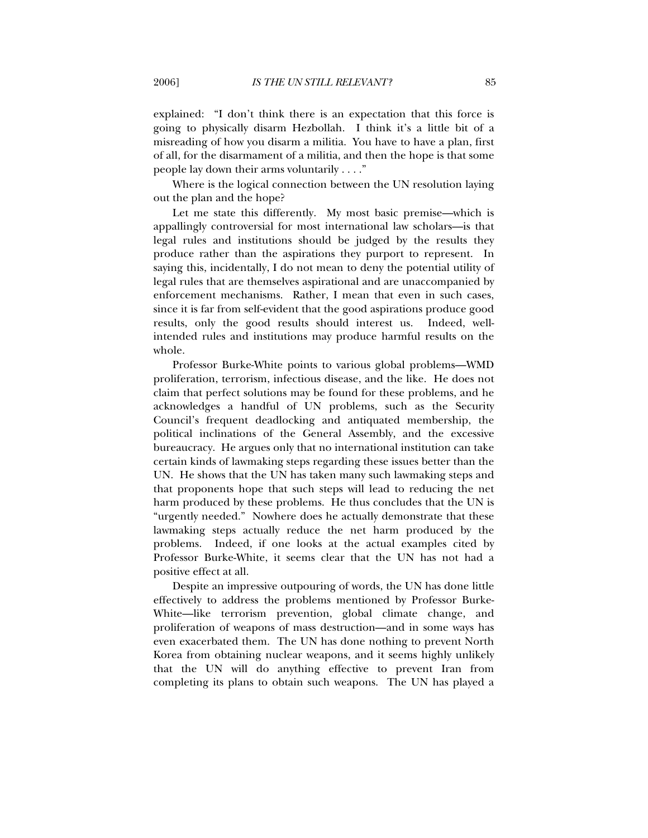explained: "I don't think there is an expectation that this force is going to physically disarm Hezbollah. I think it's a little bit of a misreading of how you disarm a militia. You have to have a plan, first of all, for the disarmament of a militia, and then the hope is that some people lay down their arms voluntarily . . . ."

Where is the logical connection between the UN resolution laying out the plan and the hope?

Let me state this differently. My most basic premise—which is appallingly controversial for most international law scholars—is that legal rules and institutions should be judged by the results they produce rather than the aspirations they purport to represent. In saying this, incidentally, I do not mean to deny the potential utility of legal rules that are themselves aspirational and are unaccompanied by enforcement mechanisms. Rather, I mean that even in such cases, since it is far from self-evident that the good aspirations produce good results, only the good results should interest us. Indeed, wellintended rules and institutions may produce harmful results on the whole.

Professor Burke-White points to various global problems—WMD proliferation, terrorism, infectious disease, and the like. He does not claim that perfect solutions may be found for these problems, and he acknowledges a handful of UN problems, such as the Security Council's frequent deadlocking and antiquated membership, the political inclinations of the General Assembly, and the excessive bureaucracy. He argues only that no international institution can take certain kinds of lawmaking steps regarding these issues better than the UN. He shows that the UN has taken many such lawmaking steps and that proponents hope that such steps will lead to reducing the net harm produced by these problems. He thus concludes that the UN is "urgently needed." Nowhere does he actually demonstrate that these lawmaking steps actually reduce the net harm produced by the problems. Indeed, if one looks at the actual examples cited by Professor Burke-White, it seems clear that the UN has not had a positive effect at all.

Despite an impressive outpouring of words, the UN has done little effectively to address the problems mentioned by Professor Burke-White—like terrorism prevention, global climate change, and proliferation of weapons of mass destruction—and in some ways has even exacerbated them. The UN has done nothing to prevent North Korea from obtaining nuclear weapons, and it seems highly unlikely that the UN will do anything effective to prevent Iran from completing its plans to obtain such weapons. The UN has played a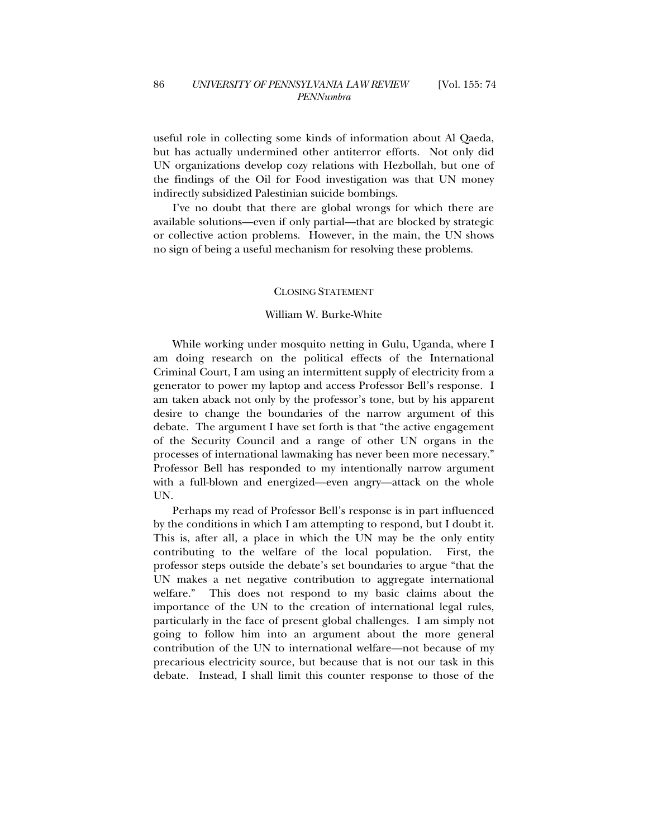useful role in collecting some kinds of information about Al Qaeda, but has actually undermined other antiterror efforts. Not only did UN organizations develop cozy relations with Hezbollah, but one of the findings of the Oil for Food investigation was that UN money indirectly subsidized Palestinian suicide bombings.

I've no doubt that there are global wrongs for which there are available solutions—even if only partial—that are blocked by strategic or collective action problems. However, in the main, the UN shows no sign of being a useful mechanism for resolving these problems.

# CLOSING STATEMENT

### William W. Burke-White

While working under mosquito netting in Gulu, Uganda, where I am doing research on the political effects of the International Criminal Court, I am using an intermittent supply of electricity from a generator to power my laptop and access Professor Bell's response. I am taken aback not only by the professor's tone, but by his apparent desire to change the boundaries of the narrow argument of this debate. The argument I have set forth is that "the active engagement of the Security Council and a range of other UN organs in the processes of international lawmaking has never been more necessary." Professor Bell has responded to my intentionally narrow argument with a full-blown and energized—even angry—attack on the whole UN.

Perhaps my read of Professor Bell's response is in part influenced by the conditions in which I am attempting to respond, but I doubt it. This is, after all, a place in which the UN may be the only entity contributing to the welfare of the local population. First, the professor steps outside the debate's set boundaries to argue "that the UN makes a net negative contribution to aggregate international welfare." This does not respond to my basic claims about the importance of the UN to the creation of international legal rules, particularly in the face of present global challenges. I am simply not going to follow him into an argument about the more general contribution of the UN to international welfare—not because of my precarious electricity source, but because that is not our task in this debate. Instead, I shall limit this counter response to those of the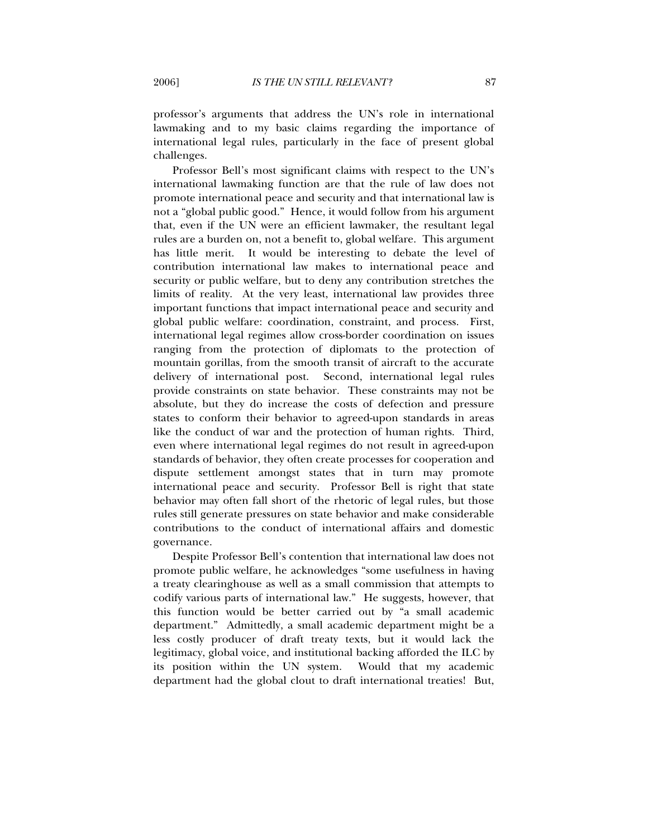professor's arguments that address the UN's role in international lawmaking and to my basic claims regarding the importance of international legal rules, particularly in the face of present global challenges.

Professor Bell's most significant claims with respect to the UN's international lawmaking function are that the rule of law does not promote international peace and security and that international law is not a "global public good." Hence, it would follow from his argument that, even if the UN were an efficient lawmaker, the resultant legal rules are a burden on, not a benefit to, global welfare. This argument has little merit. It would be interesting to debate the level of contribution international law makes to international peace and security or public welfare, but to deny any contribution stretches the limits of reality. At the very least, international law provides three important functions that impact international peace and security and global public welfare: coordination, constraint, and process. First, international legal regimes allow cross-border coordination on issues ranging from the protection of diplomats to the protection of mountain gorillas, from the smooth transit of aircraft to the accurate delivery of international post. Second, international legal rules provide constraints on state behavior. These constraints may not be absolute, but they do increase the costs of defection and pressure states to conform their behavior to agreed-upon standards in areas like the conduct of war and the protection of human rights. Third, even where international legal regimes do not result in agreed-upon standards of behavior, they often create processes for cooperation and dispute settlement amongst states that in turn may promote international peace and security. Professor Bell is right that state behavior may often fall short of the rhetoric of legal rules, but those rules still generate pressures on state behavior and make considerable contributions to the conduct of international affairs and domestic governance.

Despite Professor Bell's contention that international law does not promote public welfare, he acknowledges "some usefulness in having a treaty clearinghouse as well as a small commission that attempts to codify various parts of international law." He suggests, however, that this function would be better carried out by "a small academic department." Admittedly, a small academic department might be a less costly producer of draft treaty texts, but it would lack the legitimacy, global voice, and institutional backing afforded the ILC by its position within the UN system. Would that my academic department had the global clout to draft international treaties! But,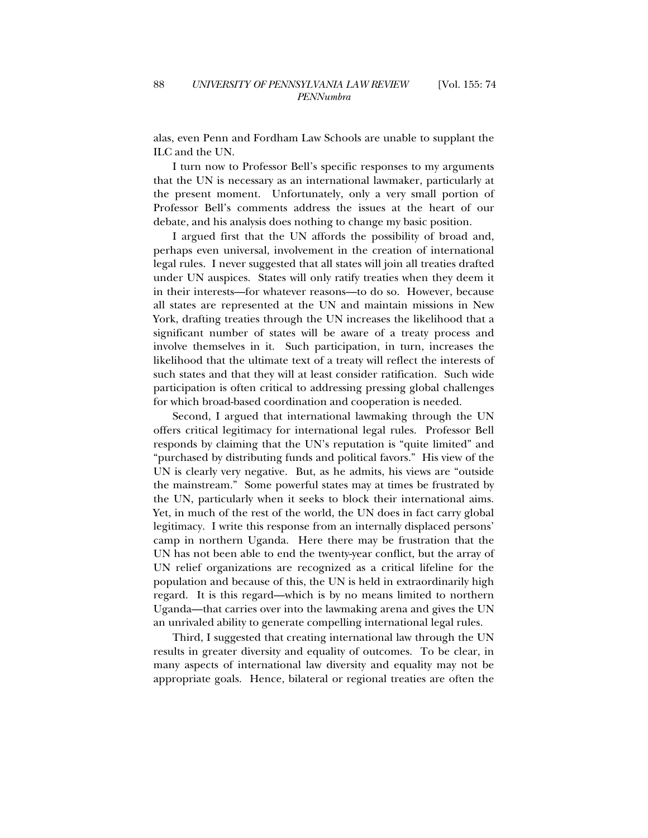alas, even Penn and Fordham Law Schools are unable to supplant the ILC and the UN.

I turn now to Professor Bell's specific responses to my arguments that the UN is necessary as an international lawmaker, particularly at the present moment. Unfortunately, only a very small portion of Professor Bell's comments address the issues at the heart of our debate, and his analysis does nothing to change my basic position.

I argued first that the UN affords the possibility of broad and, perhaps even universal, involvement in the creation of international legal rules. I never suggested that all states will join all treaties drafted under UN auspices. States will only ratify treaties when they deem it in their interests—for whatever reasons—to do so. However, because all states are represented at the UN and maintain missions in New York, drafting treaties through the UN increases the likelihood that a significant number of states will be aware of a treaty process and involve themselves in it. Such participation, in turn, increases the likelihood that the ultimate text of a treaty will reflect the interests of such states and that they will at least consider ratification. Such wide participation is often critical to addressing pressing global challenges for which broad-based coordination and cooperation is needed.

Second, I argued that international lawmaking through the UN offers critical legitimacy for international legal rules. Professor Bell responds by claiming that the UN's reputation is "quite limited" and "purchased by distributing funds and political favors." His view of the UN is clearly very negative. But, as he admits, his views are "outside the mainstream." Some powerful states may at times be frustrated by the UN, particularly when it seeks to block their international aims. Yet, in much of the rest of the world, the UN does in fact carry global legitimacy. I write this response from an internally displaced persons' camp in northern Uganda. Here there may be frustration that the UN has not been able to end the twenty-year conflict, but the array of UN relief organizations are recognized as a critical lifeline for the population and because of this, the UN is held in extraordinarily high regard. It is this regard—which is by no means limited to northern Uganda—that carries over into the lawmaking arena and gives the UN an unrivaled ability to generate compelling international legal rules.

Third, I suggested that creating international law through the UN results in greater diversity and equality of outcomes. To be clear, in many aspects of international law diversity and equality may not be appropriate goals. Hence, bilateral or regional treaties are often the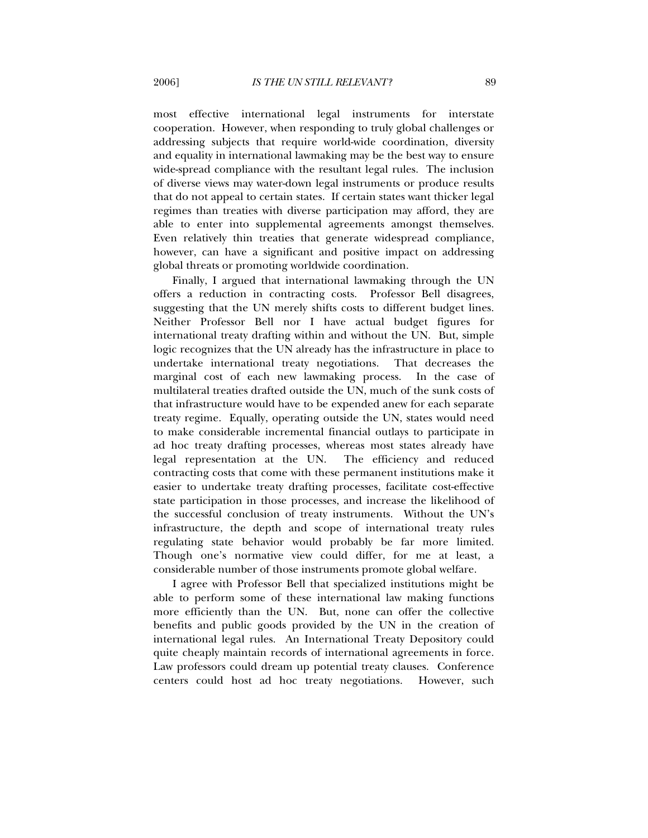most effective international legal instruments for interstate cooperation. However, when responding to truly global challenges or addressing subjects that require world-wide coordination, diversity and equality in international lawmaking may be the best way to ensure wide-spread compliance with the resultant legal rules. The inclusion of diverse views may water-down legal instruments or produce results that do not appeal to certain states. If certain states want thicker legal regimes than treaties with diverse participation may afford, they are able to enter into supplemental agreements amongst themselves. Even relatively thin treaties that generate widespread compliance, however, can have a significant and positive impact on addressing global threats or promoting worldwide coordination.

Finally, I argued that international lawmaking through the UN offers a reduction in contracting costs. Professor Bell disagrees, suggesting that the UN merely shifts costs to different budget lines. Neither Professor Bell nor I have actual budget figures for international treaty drafting within and without the UN. But, simple logic recognizes that the UN already has the infrastructure in place to undertake international treaty negotiations. That decreases the marginal cost of each new lawmaking process. In the case of multilateral treaties drafted outside the UN, much of the sunk costs of that infrastructure would have to be expended anew for each separate treaty regime. Equally, operating outside the UN, states would need to make considerable incremental financial outlays to participate in ad hoc treaty drafting processes, whereas most states already have legal representation at the UN. The efficiency and reduced contracting costs that come with these permanent institutions make it easier to undertake treaty drafting processes, facilitate cost-effective state participation in those processes, and increase the likelihood of the successful conclusion of treaty instruments. Without the UN's infrastructure, the depth and scope of international treaty rules regulating state behavior would probably be far more limited. Though one's normative view could differ, for me at least, a considerable number of those instruments promote global welfare.

I agree with Professor Bell that specialized institutions might be able to perform some of these international law making functions more efficiently than the UN. But, none can offer the collective benefits and public goods provided by the UN in the creation of international legal rules. An International Treaty Depository could quite cheaply maintain records of international agreements in force. Law professors could dream up potential treaty clauses. Conference centers could host ad hoc treaty negotiations. However, such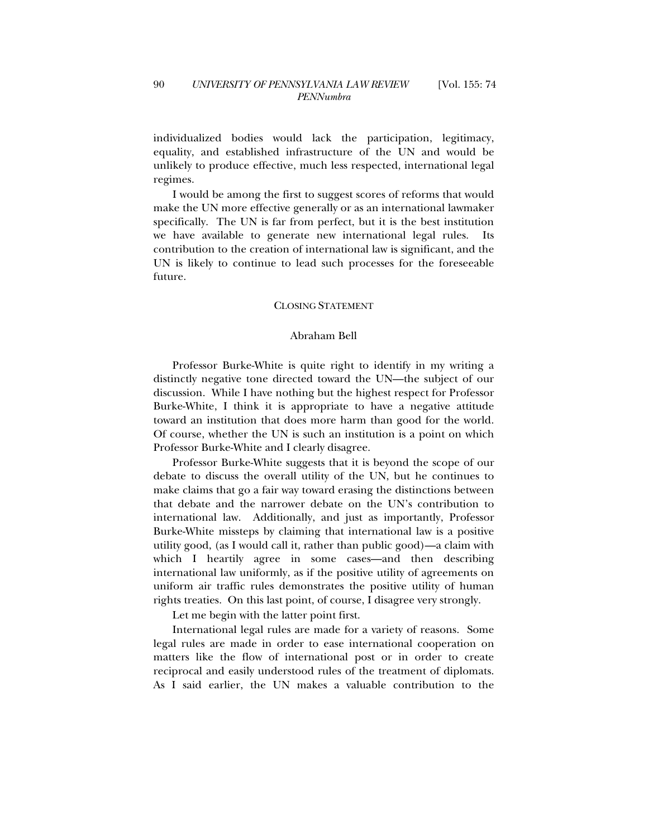individualized bodies would lack the participation, legitimacy, equality, and established infrastructure of the UN and would be unlikely to produce effective, much less respected, international legal regimes.

I would be among the first to suggest scores of reforms that would make the UN more effective generally or as an international lawmaker specifically. The UN is far from perfect, but it is the best institution we have available to generate new international legal rules. contribution to the creation of international law is significant, and the UN is likely to continue to lead such processes for the foreseeable future.

### CLOSING STATEMENT

### Abraham Bell

Professor Burke-White is quite right to identify in my writing a distinctly negative tone directed toward the UN—the subject of our discussion. While I have nothing but the highest respect for Professor Burke-White, I think it is appropriate to have a negative attitude toward an institution that does more harm than good for the world. Of course, whether the UN is such an institution is a point on which Professor Burke-White and I clearly disagree.

Professor Burke-White suggests that it is beyond the scope of our debate to discuss the overall utility of the UN, but he continues to make claims that go a fair way toward erasing the distinctions between that debate and the narrower debate on the UN's contribution to international law. Additionally, and just as importantly, Professor Burke-White missteps by claiming that international law is a positive utility good, (as I would call it, rather than public good)—a claim with which I heartily agree in some cases—and then describing international law uniformly, as if the positive utility of agreements on uniform air traffic rules demonstrates the positive utility of human rights treaties. On this last point, of course, I disagree very strongly.

Let me begin with the latter point first.

International legal rules are made for a variety of reasons. Some legal rules are made in order to ease international cooperation on matters like the flow of international post or in order to create reciprocal and easily understood rules of the treatment of diplomats. As I said earlier, the UN makes a valuable contribution to the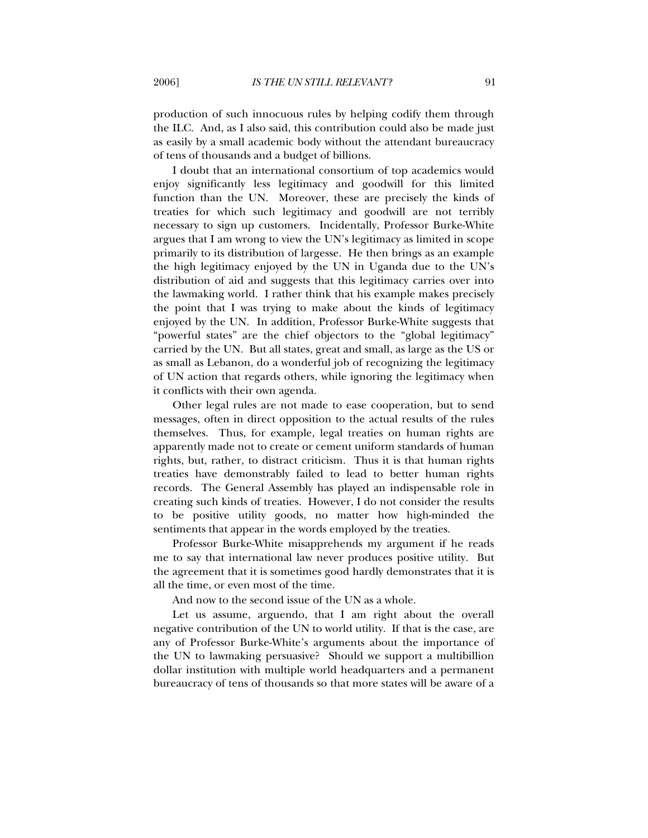production of such innocuous rules by helping codify them through the ILC. And, as I also said, this contribution could also be made just as easily by a small academic body without the attendant bureaucracy of tens of thousands and a budget of billions.

I doubt that an international consortium of top academics would enjoy significantly less legitimacy and goodwill for this limited function than the UN. Moreover, these are precisely the kinds of treaties for which such legitimacy and goodwill are not terribly necessary to sign up customers. Incidentally, Professor Burke-White argues that I am wrong to view the UN's legitimacy as limited in scope primarily to its distribution of largesse. He then brings as an example the high legitimacy enjoyed by the UN in Uganda due to the UN's distribution of aid and suggests that this legitimacy carries over into the lawmaking world. I rather think that his example makes precisely the point that I was trying to make about the kinds of legitimacy enjoyed by the UN. In addition, Professor Burke-White suggests that "powerful states" are the chief objectors to the "global legitimacy" carried by the UN. But all states, great and small, as large as the US or as small as Lebanon, do a wonderful job of recognizing the legitimacy of UN action that regards others, while ignoring the legitimacy when it conflicts with their own agenda.

Other legal rules are not made to ease cooperation, but to send messages, often in direct opposition to the actual results of the rules themselves. Thus, for example, legal treaties on human rights are apparently made not to create or cement uniform standards of human rights, but, rather, to distract criticism. Thus it is that human rights treaties have demonstrably failed to lead to better human rights records. The General Assembly has played an indispensable role in creating such kinds of treaties. However, I do not consider the results to be positive utility goods, no matter how high-minded the sentiments that appear in the words employed by the treaties.

Professor Burke-White misapprehends my argument if he reads me to say that international law never produces positive utility. But the agreement that it is sometimes good hardly demonstrates that it is all the time, or even most of the time.

And now to the second issue of the UN as a whole.

Let us assume, arguendo, that I am right about the overall negative contribution of the UN to world utility. If that is the case, are any of Professor Burke-White's arguments about the importance of the UN to lawmaking persuasive? Should we support a multibillion dollar institution with multiple world headquarters and a permanent bureaucracy of tens of thousands so that more states will be aware of a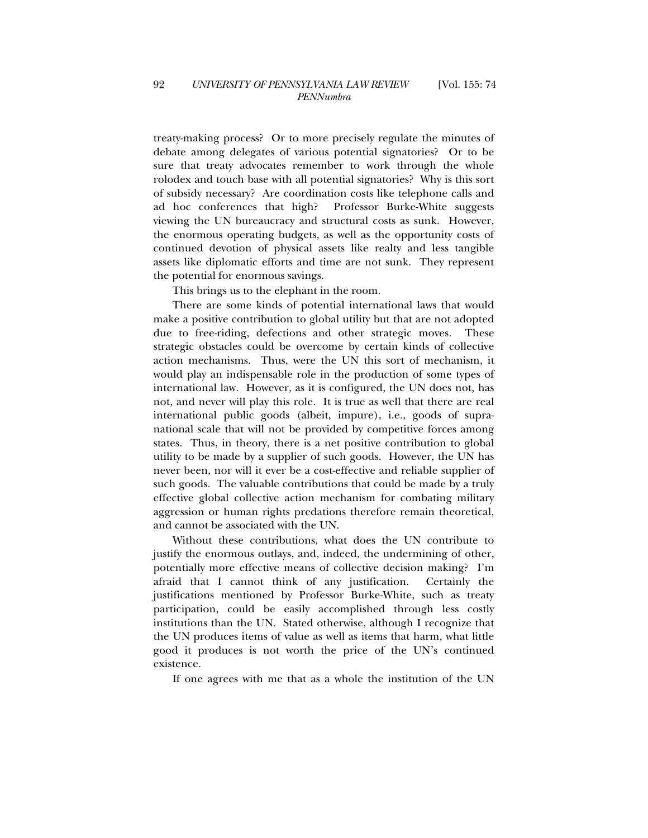treaty-making process? Or to more precisely regulate the minutes of debate among delegates of various potential signatories? Or to be sure that treaty advocates remember to work through the whole rolodex and touch base with all potential signatories? Why is this sort of subsidy necessary? Are coordination costs like telephone calls and ad hoc conferences that high? Professor Burke-White suggests viewing the UN bureaucracy and structural costs as sunk. However, the enormous operating budgets, as well as the opportunity costs of continued devotion of physical assets like realty and less tangible assets like diplomatic efforts and time are not sunk. They represent the potential for enormous savings.

This brings us to the elephant in the room.

There are some kinds of potential international laws that would make a positive contribution to global utility but that are not adopted due to free-riding, defections and other strategic moves. These strategic obstacles could be overcome by certain kinds of collective action mechanisms. Thus, were the UN this sort of mechanism, it would play an indispensable role in the production of some types of international law. However, as it is configured, the UN does not, has not, and never will play this role. It is true as well that there are real international public goods (albeit, impure), i.e., goods of supranational scale that will not be provided by competitive forces among states. Thus, in theory, there is a net positive contribution to global utility to be made by a supplier of such goods. However, the UN has never been, nor will it ever be a cost-effective and reliable supplier of such goods. The valuable contributions that could be made by a truly effective global collective action mechanism for combating military aggression or human rights predations therefore remain theoretical, and cannot be associated with the UN.

Without these contributions, what does the UN contribute to justify the enormous outlays, and, indeed, the undermining of other, potentially more effective means of collective decision making? I'm afraid that I cannot think of any justification. Certainly the justifications mentioned by Professor Burke-White, such as treaty participation, could be easily accomplished through less costly institutions than the UN. Stated otherwise, although I recognize that the UN produces items of value as well as items that harm, what little good it produces is not worth the price of the UN's continued existence.

If one agrees with me that as a whole the institution of the UN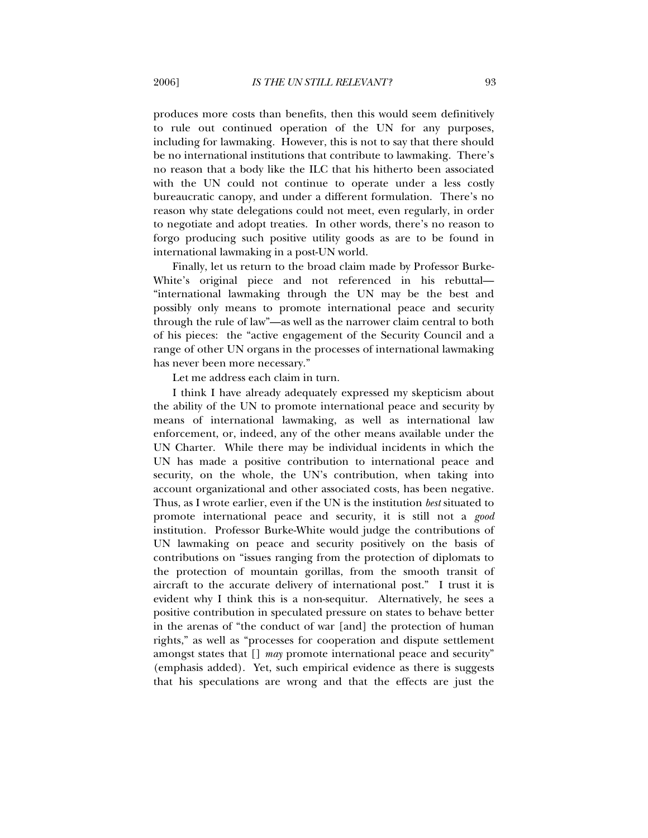produces more costs than benefits, then this would seem definitively to rule out continued operation of the UN for any purposes, including for lawmaking. However, this is not to say that there should be no international institutions that contribute to lawmaking. There's no reason that a body like the ILC that his hitherto been associated with the UN could not continue to operate under a less costly bureaucratic canopy, and under a different formulation. There's no reason why state delegations could not meet, even regularly, in order to negotiate and adopt treaties. In other words, there's no reason to forgo producing such positive utility goods as are to be found in international lawmaking in a post-UN world.

Finally, let us return to the broad claim made by Professor Burke-White's original piece and not referenced in his rebuttal— "international lawmaking through the UN may be the best and possibly only means to promote international peace and security through the rule of law"—as well as the narrower claim central to both of his pieces: the "active engagement of the Security Council and a range of other UN organs in the processes of international lawmaking has never been more necessary."

Let me address each claim in turn.

I think I have already adequately expressed my skepticism about the ability of the UN to promote international peace and security by means of international lawmaking, as well as international law enforcement, or, indeed, any of the other means available under the UN Charter. While there may be individual incidents in which the UN has made a positive contribution to international peace and security, on the whole, the UN's contribution, when taking into account organizational and other associated costs, has been negative. Thus, as I wrote earlier, even if the UN is the institution *best* situated to promote international peace and security, it is still not a *good*  institution. Professor Burke-White would judge the contributions of UN lawmaking on peace and security positively on the basis of contributions on "issues ranging from the protection of diplomats to the protection of mountain gorillas, from the smooth transit of aircraft to the accurate delivery of international post." I trust it is evident why I think this is a non-sequitur. Alternatively, he sees a positive contribution in speculated pressure on states to behave better in the arenas of "the conduct of war [and] the protection of human rights," as well as "processes for cooperation and dispute settlement amongst states that [] *may* promote international peace and security" (emphasis added). Yet, such empirical evidence as there is suggests that his speculations are wrong and that the effects are just the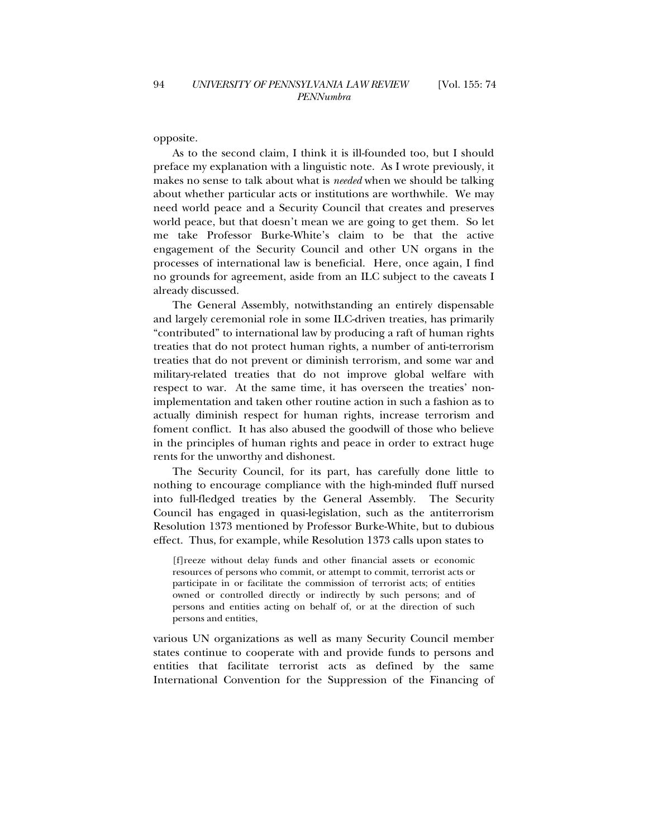opposite.

As to the second claim, I think it is ill-founded too, but I should preface my explanation with a linguistic note. As I wrote previously, it makes no sense to talk about what is *needed* when we should be talking about whether particular acts or institutions are worthwhile. We may need world peace and a Security Council that creates and preserves world peace, but that doesn't mean we are going to get them. So let me take Professor Burke-White's claim to be that the active engagement of the Security Council and other UN organs in the processes of international law is beneficial. Here, once again, I find no grounds for agreement, aside from an ILC subject to the caveats I already discussed.

The General Assembly, notwithstanding an entirely dispensable and largely ceremonial role in some ILC-driven treaties, has primarily "contributed" to international law by producing a raft of human rights treaties that do not protect human rights, a number of anti-terrorism treaties that do not prevent or diminish terrorism, and some war and military-related treaties that do not improve global welfare with respect to war. At the same time, it has overseen the treaties' nonimplementation and taken other routine action in such a fashion as to actually diminish respect for human rights, increase terrorism and foment conflict. It has also abused the goodwill of those who believe in the principles of human rights and peace in order to extract huge rents for the unworthy and dishonest.

The Security Council, for its part, has carefully done little to nothing to encourage compliance with the high-minded fluff nursed into full-fledged treaties by the General Assembly. The Security Council has engaged in quasi-legislation, such as the antiterrorism Resolution 1373 mentioned by Professor Burke-White, but to dubious effect. Thus, for example, while Resolution 1373 calls upon states to

[f]reeze without delay funds and other financial assets or economic resources of persons who commit, or attempt to commit, terrorist acts or participate in or facilitate the commission of terrorist acts; of entities owned or controlled directly or indirectly by such persons; and of persons and entities acting on behalf of, or at the direction of such persons and entities,

various UN organizations as well as many Security Council member states continue to cooperate with and provide funds to persons and entities that facilitate terrorist acts as defined by the same International Convention for the Suppression of the Financing of